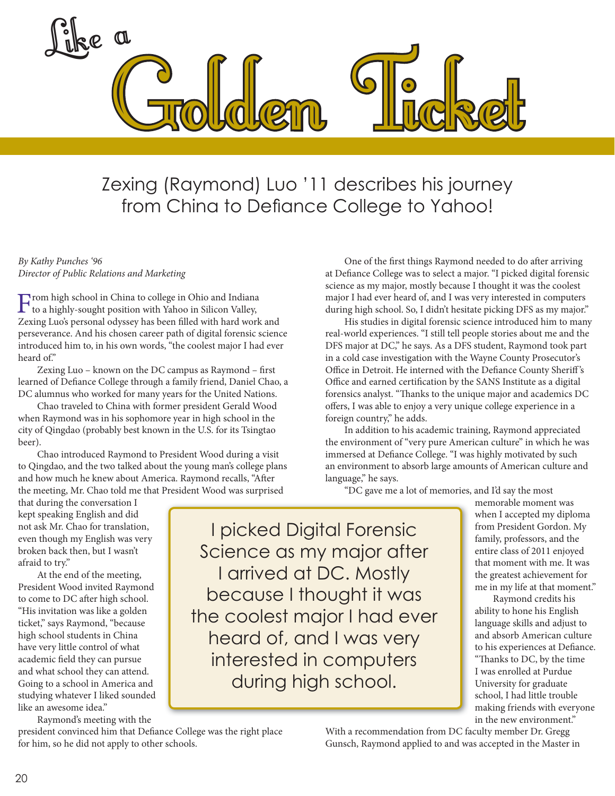

## Zexing (Raymond) Luo '11 describes his journey from China to Defiance College to Yahoo!

## By Kathy Punches '96 Director of Public Relations and Marketing

From high school in China to college in Ohio and Indiana to a highly-sought position with Yahoo in Silicon Valley, Zexing Luo's personal odyssey has been filled with hard work and perseverance. And his chosen career path of digital forensic science introduced him to, in his own words, "the coolest major I had ever heard of."

Zexing Luo – known on the DC campus as Raymond – first learned of Defiance College through a family friend, Daniel Chao, a DC alumnus who worked for many years for the United Nations.

Chao traveled to China with former president Gerald Wood when Raymond was in his sophomore year in high school in the city of Qingdao (probably best known in the U.S. for its Tsingtao beer).

Chao introduced Raymond to President Wood during a visit to Qingdao, and the two talked about the young man's college plans and how much he knew about America. Raymond recalls, "After the meeting, Mr. Chao told me that President Wood was surprised

that during the conversation I kept speaking English and did not ask Mr. Chao for translation, even though my English was very broken back then, but I wasn't afraid to try."

At the end of the meeting, President Wood invited Raymond to come to DC after high school. "His invitation was like a golden ticket," says Raymond, "because high school students in China have very little control of what academic field they can pursue and what school they can attend. Going to a school in America and studying whatever I liked sounded like an awesome idea."

Raymond's meeting with the

I picked Digital Forensic Science as my major after I arrived at DC. Mostly because I thought it was the coolest major I had ever heard of, and I was very interested in computers during high school.

president convinced him that Defiance College was the right place for him, so he did not apply to other schools.

One of the first things Raymond needed to do after arriving at Defiance College was to select a major. "I picked digital forensic science as my major, mostly because I thought it was the coolest major I had ever heard of, and I was very interested in computers during high school. So, I didn't hesitate picking DFS as my major."

His studies in digital forensic science introduced him to many real-world experiences. "I still tell people stories about me and the DFS major at DC," he says. As a DFS student, Raymond took part in a cold case investigation with the Wayne County Prosecutor's Office in Detroit. He interned with the Defiance County Sheriff 's Office and earned certification by the SANS Institute as a digital forensics analyst. "Thanks to the unique major and academics DC offers, I was able to enjoy a very unique college experience in a foreign country," he adds.

In addition to his academic training, Raymond appreciated the environment of "very pure American culture" in which he was immersed at Defiance College. "I was highly motivated by such an environment to absorb large amounts of American culture and language," he says.

"DC gave me a lot of memories, and I'd say the most

memorable moment was when I accepted my diploma from President Gordon. My family, professors, and the entire class of 2011 enjoyed that moment with me. It was the greatest achievement for me in my life at that moment."

 Raymond credits his ability to hone his English language skills and adjust to and absorb American culture to his experiences at Defiance. "Thanks to DC, by the time I was enrolled at Purdue University for graduate school, I had little trouble making friends with everyone in the new environment."

With a recommendation from DC faculty member Dr. Gregg Gunsch, Raymond applied to and was accepted in the Master in